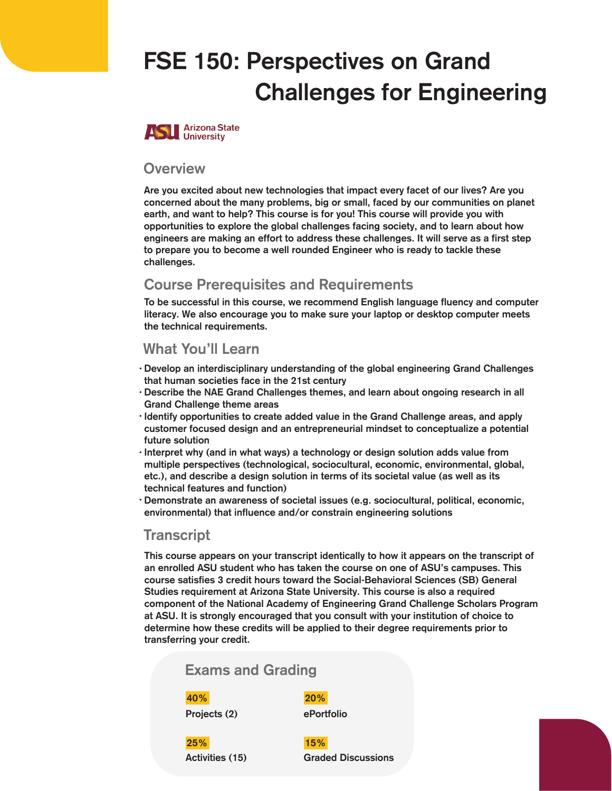# FSE 150: Perspectives on Grand Challenges for Engineering



#### **Overview**

Are you excited about new technologies that impact every facet of our lives? Are you concerned about the many problems, big or small, faced by our communities on planet earth, and want to help? This course is for you! This course will provide you with opportunities to explore the global challenges facing society, and to learn about how engineers are making an effort to address these challenges. It will serve as a first step to prepare you to become a well rounded Engineer who is ready to tackle these challenges.

#### Course Prerequisites and Requirements

To be successful in this course, we recommend English language fluency and computer literacy. We also encourage you to make sure your laptop or desktop computer meets the technical requirements.

#### What You'll Learn

- Develop an interdisciplinary understanding of the global engineering Grand Challenges that human societies face in the 21st century
- Describe the NAE Grand Challenges themes, and learn about ongoing research in all Grand Challenge theme areas
- Identify opportunities to create added value in the Grand Challenge areas, and apply customer focused design and an entrepreneurial mindset to conceptualize a potential future solution
- $\cdot$  Interpret why (and in what ways) a technology or design solution adds value from multiple perspectives (technological, sociocultural, economic, environmental, global, etc.), and describe a design solution in terms of its societal value (as well as its technical features and function)
- Demonstrate an awareness of societal issues (e.g. sociocultural, political, economic, environmental) that influence and/or constrain engineering solutions

#### **Transcript**

This course appears on your transcript identically to how it appears on the transcript of an enrolled ASU student who has taken the course on one of ASU's campuses. This course satisfies 3 credit hours toward the Social-Behavioral Sciences (SB) General Studies requirement at Arizona State University. This course is also a required component of the National Academy of Engineering Grand Challenge Scholars Program at ASU. It is strongly encouraged that you consult with your institution of choice to determine how these credits will be applied to their degree requirements prior to transferring your credit.

#### Exams and Grading

#### 40% 20%

Projects (2) ePortfolio

25% 15%